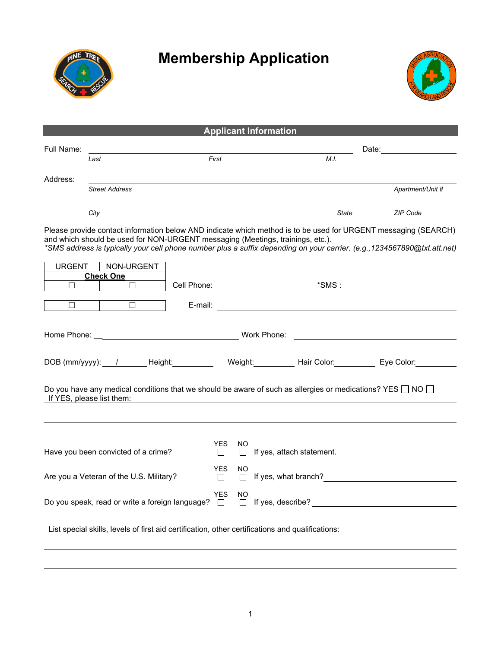

## **Membership Application**



| <b>Applicant Information</b>                                                                                                                                                                                                                                                                                                 |                                     |         |                       |                |                                                                                                                                                                                                                                      |                  |  |  |  |  |
|------------------------------------------------------------------------------------------------------------------------------------------------------------------------------------------------------------------------------------------------------------------------------------------------------------------------------|-------------------------------------|---------|-----------------------|----------------|--------------------------------------------------------------------------------------------------------------------------------------------------------------------------------------------------------------------------------------|------------------|--|--|--|--|
| Full Name:                                                                                                                                                                                                                                                                                                                   |                                     |         |                       |                | Date:                                                                                                                                                                                                                                |                  |  |  |  |  |
|                                                                                                                                                                                                                                                                                                                              | Last                                |         | First                 |                | M.I.                                                                                                                                                                                                                                 |                  |  |  |  |  |
|                                                                                                                                                                                                                                                                                                                              |                                     |         |                       |                |                                                                                                                                                                                                                                      |                  |  |  |  |  |
| Address:                                                                                                                                                                                                                                                                                                                     | <b>Street Address</b>               |         |                       |                |                                                                                                                                                                                                                                      | Apartment/Unit # |  |  |  |  |
|                                                                                                                                                                                                                                                                                                                              | City                                |         |                       |                | State                                                                                                                                                                                                                                | ZIP Code         |  |  |  |  |
| Please provide contact information below AND indicate which method is to be used for URGENT messaging (SEARCH)<br>and which should be used for NON-URGENT messaging (Meetings, trainings, etc.).<br>*SMS address is typically your cell phone number plus a suffix depending on your carrier. (e.g., 1234567890@txt.att.net) |                                     |         |                       |                |                                                                                                                                                                                                                                      |                  |  |  |  |  |
| <b>URGENT</b><br>П                                                                                                                                                                                                                                                                                                           | NON-URGENT<br><b>Check One</b><br>П |         |                       |                | Cell Phone: <u>with the set of the set of the set of the set of the set of the set of the set of the set of the set of the set of the set of the set of the set of the set of the set of the set of the set of the set of the se</u> |                  |  |  |  |  |
| □                                                                                                                                                                                                                                                                                                                            | $\Box$                              | E-mail: |                       |                |                                                                                                                                                                                                                                      |                  |  |  |  |  |
| Home Phone: <u>same</u><br>Work Phone:                                                                                                                                                                                                                                                                                       |                                     |         |                       |                |                                                                                                                                                                                                                                      |                  |  |  |  |  |
| DOB (mm/yyyy): / Height: Weight: Weight: Hair Color: Eye Color:                                                                                                                                                                                                                                                              |                                     |         |                       |                |                                                                                                                                                                                                                                      |                  |  |  |  |  |
| Do you have any medical conditions that we should be aware of such as allergies or medications? YES $\Box$ NO $\Box$<br>If YES, please list them:                                                                                                                                                                            |                                     |         |                       |                |                                                                                                                                                                                                                                      |                  |  |  |  |  |
|                                                                                                                                                                                                                                                                                                                              |                                     |         |                       |                |                                                                                                                                                                                                                                      |                  |  |  |  |  |
|                                                                                                                                                                                                                                                                                                                              |                                     |         |                       |                |                                                                                                                                                                                                                                      |                  |  |  |  |  |
| Have you been convicted of a crime?                                                                                                                                                                                                                                                                                          |                                     |         | <b>YES</b><br>$\perp$ | NO.<br>$\perp$ | If yes, attach statement.                                                                                                                                                                                                            |                  |  |  |  |  |
| Are you a Veteran of the U.S. Military?                                                                                                                                                                                                                                                                                      |                                     |         | <b>YES</b><br>$\Box$  | NO.<br>$\Box$  | If yes, what branch?                                                                                                                                                                                                                 |                  |  |  |  |  |
| Do you speak, read or write a foreign language? $\Box$                                                                                                                                                                                                                                                                       |                                     |         | <b>YES</b>            | NO<br>$\Box$   | If yes, describe?                                                                                                                                                                                                                    |                  |  |  |  |  |
| List special skills, levels of first aid certification, other certifications and qualifications:                                                                                                                                                                                                                             |                                     |         |                       |                |                                                                                                                                                                                                                                      |                  |  |  |  |  |